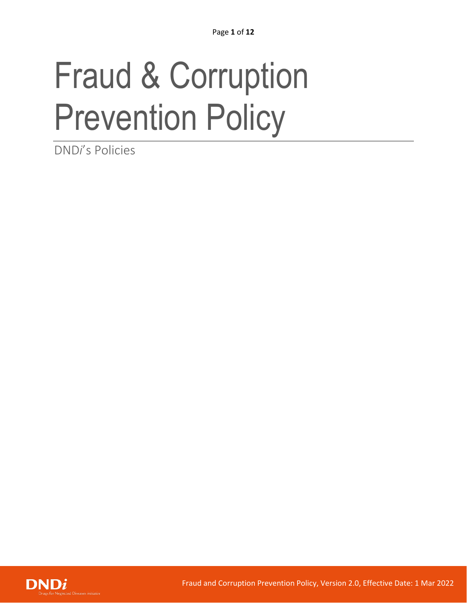# Fraud & Corruption Prevention Policy

DND*i*'s Policies

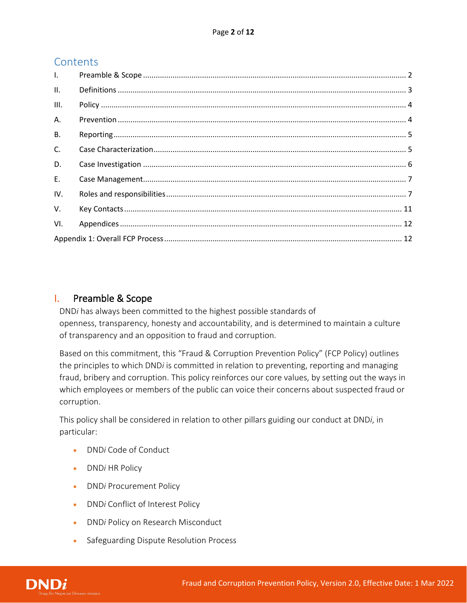# **Contents**

| $\mathbf{L}$ |  |  |  |  |  |
|--------------|--|--|--|--|--|
| II.          |  |  |  |  |  |
| III.         |  |  |  |  |  |
| A.           |  |  |  |  |  |
| <b>B.</b>    |  |  |  |  |  |
| $C_{\cdot}$  |  |  |  |  |  |
| D.           |  |  |  |  |  |
| $E_{\rm{r}}$ |  |  |  |  |  |
| IV.          |  |  |  |  |  |
| V.           |  |  |  |  |  |
| VI.          |  |  |  |  |  |
|              |  |  |  |  |  |

# <span id="page-1-0"></span>I. Preamble & Scope

DND*i* has always been committed to the highest possible standards of openness, transparency, honesty and accountability, and is determined to maintain a culture of transparency and an opposition to fraud and corruption.

Based on this commitment, this "Fraud & Corruption Prevention Policy" (FCP Policy) outlines the principles to which DND*i* is committed in relation to preventing, reporting and managing fraud, bribery and corruption. This policy reinforces our core values, by setting out the ways in which employees or members of the public can voice their concerns about suspected fraud or corruption.

This policy shall be considered in relation to other pillars guiding our conduct at DND*i*, in particular:

- DND*i* Code of Conduct
- DND*i* HR Policy
- DND*i* Procurement Policy
- DND*i* Conflict of Interest Policy
- DND*i* Policy on Research Misconduct
- Safeguarding Dispute Resolution Process

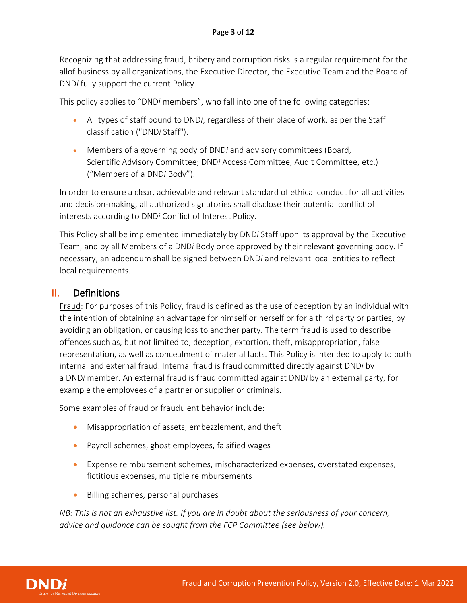Recognizing that addressing fraud, bribery and corruption risks is a regular requirement for the allof business by all organizations, the Executive Director, the Executive Team and the Board of DND*i* fully support the current Policy.

This policy applies to "DND*i* members", who fall into one of the following categories:

- All types of staff bound to DND*i*, regardless of their place of work, as per the Staff classification ("DND*i* Staff").
- Members of a governing body of DND*i* and advisory committees (Board, Scientific Advisory Committee; DND*i* Access Committee, Audit Committee, etc.) ("Members of a DND*i* Body").

In order to ensure a clear, achievable and relevant standard of ethical conduct for all activities and decision-making, all authorized signatories shall disclose their potential conflict of interests according to DND*i* Conflict of Interest Policy.

This Policy shall be implemented immediately by DND*i* Staff upon its approval by the Executive Team, and by all Members of a DND*i* Body once approved by their relevant governing body. If necessary, an addendum shall be signed between DND*i* and relevant local entities to reflect local requirements.

## <span id="page-2-0"></span>II. Definitions

Fraud: For purposes of this Policy, fraud is defined as the use of deception by an individual with the intention of obtaining an advantage for himself or herself or for a third party or parties, by avoiding an obligation, or causing loss to another party. The term fraud is used to describe offences such as, but not limited to, deception, extortion, theft, misappropriation, false representation, as well as concealment of material facts. This Policy is intended to apply to both internal and external fraud. Internal fraud is fraud committed directly against DND*i* by a DND*i* member. An external fraud is fraud committed against DND*i* by an external party, for example the employees of a partner or supplier or criminals.

Some examples of fraud or fraudulent behavior include:

- Misappropriation of assets, embezzlement, and theft
- Payroll schemes, ghost employees, falsified wages
- Expense reimbursement schemes, mischaracterized expenses, overstated expenses, fictitious expenses, multiple reimbursements
- Billing schemes, personal purchases

*NB: This is not an exhaustive list. If you are in doubt about the seriousness of your concern, advice and guidance can be sought from the FCP Committee (see below).*

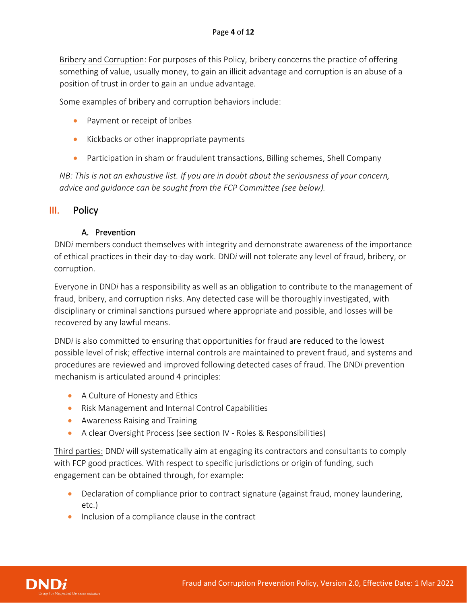Bribery and Corruption: For purposes of this Policy, bribery concerns the practice of offering something of value, usually money, to gain an illicit advantage and corruption is an abuse of a position of trust in order to gain an undue advantage.

Some examples of bribery and corruption behaviors include:

- Payment or receipt of bribes
- Kickbacks or other inappropriate payments
- Participation in sham or fraudulent transactions, Billing schemes, Shell Company

*NB: This is not an exhaustive list. If you are in doubt about the seriousness of your concern, advice and guidance can be sought from the FCP Committee (see below).*

# <span id="page-3-1"></span><span id="page-3-0"></span>III. Policy

#### A. Prevention

DND*i* members conduct themselves with integrity and demonstrate awareness of the importance of ethical practices in their day-to-day work. DND*i* will not tolerate any level of fraud, bribery, or corruption.

Everyone in DND*i* has a responsibility as well as an obligation to contribute to the management of fraud, bribery, and corruption risks. Any detected case will be thoroughly investigated, with disciplinary or criminal sanctions pursued where appropriate and possible, and losses will be recovered by any lawful means.

DND*i* is also committed to ensuring that opportunities for fraud are reduced to the lowest possible level of risk; effective internal controls are maintained to prevent fraud, and systems and procedures are reviewed and improved following detected cases of fraud. The DND*i* prevention mechanism is articulated around 4 principles:

- A Culture of Honesty and Ethics
- Risk Management and Internal Control Capabilities
- Awareness Raising and Training
- A clear Oversight Process (see section IV Roles & Responsibilities)

Third parties: DND*i* will systematically aim at engaging its contractors and consultants to comply with FCP good practices. With respect to specific jurisdictions or origin of funding, such engagement can be obtained through, for example:

- Declaration of compliance prior to contract signature (against fraud, money laundering, etc.)
- Inclusion of a compliance clause in the contract

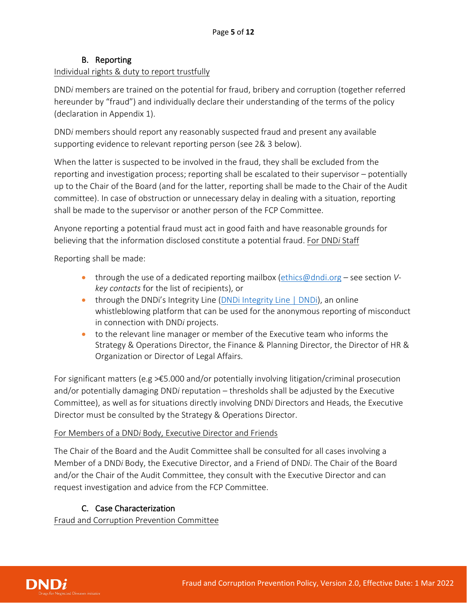## B. Reporting

#### <span id="page-4-0"></span>Individual rights & duty to report trustfully

DND*i* members are trained on the potential for fraud, bribery and corruption (together referred hereunder by "fraud") and individually declare their understanding of the terms of the policy (declaration in Appendix 1).

DND*i* members should report any reasonably suspected fraud and present any available supporting evidence to relevant reporting person (see 2& 3 below).

When the latter is suspected to be involved in the fraud, they shall be excluded from the reporting and investigation process; reporting shall be escalated to their supervisor – potentially up to the Chair of the Board (and for the latter, reporting shall be made to the Chair of the Audit committee). In case of obstruction or unnecessary delay in dealing with a situation, reporting shall be made to the supervisor or another person of the FCP Committee.

Anyone reporting a potential fraud must act in good faith and have reasonable grounds for believing that the information disclosed constitute a potential fraud. For DND*i* Staff

Reporting shall be made:

- through the use of a dedicated reporting mailbox [\(ethics@dndi.org](mailto:ethics@dndi.org) see section *Vkey contacts* for the list of recipients), or
- through the DNDi's Integrity Line (*DNDi Integrity Line* | DNDI), an online whistleblowing platform that can be used for the anonymous reporting of misconduct in connection with DND*i* projects.
- to the relevant line manager or member of the Executive team who informs the Strategy & Operations Director, the Finance & Planning Director, the Director of HR & Organization or Director of Legal Affairs.

For significant matters (e.g >€5.000 and/or potentially involving litigation/criminal prosecution and/or potentially damaging DND*i* reputation – thresholds shall be adjusted by the Executive Committee), as well as for situations directly involving DND*i* Directors and Heads, the Executive Director must be consulted by the Strategy & Operations Director.

#### For Members of a DND*i* Body, Executive Director and Friends

The Chair of the Board and the Audit Committee shall be consulted for all cases involving a Member of a DND*i* Body, the Executive Director, and a Friend of DND*i*. The Chair of the Board and/or the Chair of the Audit Committee, they consult with the Executive Director and can request investigation and advice from the FCP Committee.

## C. Case Characterization

<span id="page-4-1"></span>Fraud and Corruption Prevention Committee

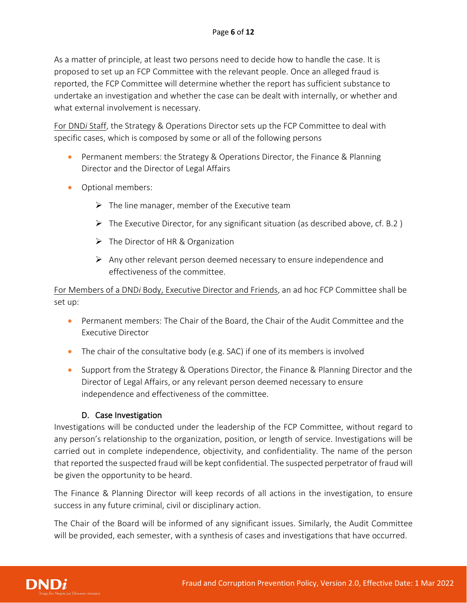As a matter of principle, at least two persons need to decide how to handle the case. It is proposed to set up an FCP Committee with the relevant people. Once an alleged fraud is reported, the FCP Committee will determine whether the report has sufficient substance to undertake an investigation and whether the case can be dealt with internally, or whether and what external involvement is necessary.

For DND*i* Staff, the Strategy & Operations Director sets up the FCP Committee to deal with specific cases, which is composed by some or all of the following persons

- Permanent members: the Strategy & Operations Director, the Finance & Planning Director and the Director of Legal Affairs
- Optional members:
	- $\triangleright$  The line manager, member of the Executive team
	- $\triangleright$  The Executive Director, for any significant situation (as described above, cf. B.2)
	- $\triangleright$  The Director of HR & Organization
	- $\triangleright$  Any other relevant person deemed necessary to ensure independence and effectiveness of the committee.

For Members of a DND*i* Body, Executive Director and Friends, an ad hoc FCP Committee shall be set up:

- Permanent members: The Chair of the Board, the Chair of the Audit Committee and the Executive Director
- The chair of the consultative body (e.g. SAC) if one of its members is involved
- Support from the Strategy & Operations Director, the Finance & Planning Director and the Director of Legal Affairs, or any relevant person deemed necessary to ensure independence and effectiveness of the committee.

#### D. Case Investigation

<span id="page-5-0"></span>Investigations will be conducted under the leadership of the FCP Committee, without regard to any person's relationship to the organization, position, or length of service. Investigations will be carried out in complete independence, objectivity, and confidentiality. The name of the person that reported the suspected fraud will be kept confidential. The suspected perpetrator of fraud will be given the opportunity to be heard.

The Finance & Planning Director will keep records of all actions in the investigation, to ensure success in any future criminal, civil or disciplinary action.

The Chair of the Board will be informed of any significant issues. Similarly, the Audit Committee will be provided, each semester, with a synthesis of cases and investigations that have occurred.

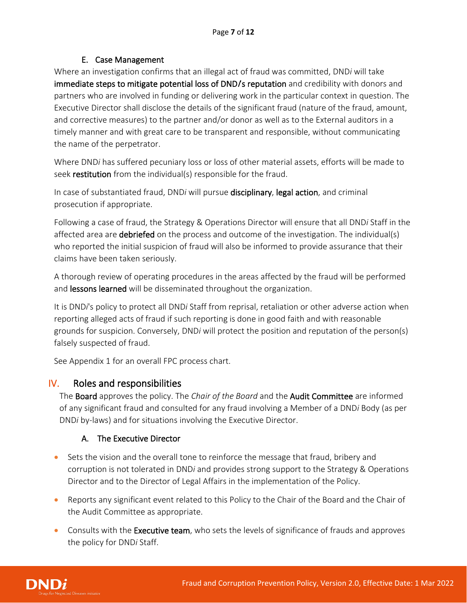#### E. Case Management

<span id="page-6-0"></span>Where an investigation confirms that an illegal act of fraud was committed, DND*i* will take immediate steps to mitigate potential loss of DND/s reputation and credibility with donors and partners who are involved in funding or delivering work in the particular context in question. The Executive Director shall disclose the details of the significant fraud (nature of the fraud, amount, and corrective measures) to the partner and/or donor as well as to the External auditors in a timely manner and with great care to be transparent and responsible, without communicating the name of the perpetrator.

Where DND*i* has suffered pecuniary loss or loss of other material assets, efforts will be made to seek restitution from the individual(s) responsible for the fraud.

In case of substantiated fraud, DND*i* will pursue disciplinary, legal action, and criminal prosecution if appropriate.

Following a case of fraud, the Strategy & Operations Director will ensure that all DND*i* Staff in the affected area are debriefed on the process and outcome of the investigation. The individual(s) who reported the initial suspicion of fraud will also be informed to provide assurance that their claims have been taken seriously.

A thorough review of operating procedures in the areas affected by the fraud will be performed and lessons learned will be disseminated throughout the organization.

It is DND*i*'s policy to protect all DND*i* Staff from reprisal, retaliation or other adverse action when reporting alleged acts of fraud if such reporting is done in good faith and with reasonable grounds for suspicion. Conversely, DND*i* will protect the position and reputation of the person(s) falsely suspected of fraud.

See Appendix 1 for an overall FPC process chart.

## <span id="page-6-1"></span>IV. Roles and responsibilities

The Board approves the policy. The *Chair of the Board* and the Audit Committee are informed of any significant fraud and consulted for any fraud involving a Member of a DND*i* Body (as per DND*i* by-laws) and for situations involving the Executive Director.

## A. The Executive Director

- Sets the vision and the overall tone to reinforce the message that fraud, bribery and corruption is not tolerated in DND*i* and provides strong support to the Strategy & Operations Director and to the Director of Legal Affairs in the implementation of the Policy.
- Reports any significant event related to this Policy to the Chair of the Board and the Chair of the Audit Committee as appropriate.
- Consults with the **Executive team**, who sets the levels of significance of frauds and approves the policy for DND*i* Staff.

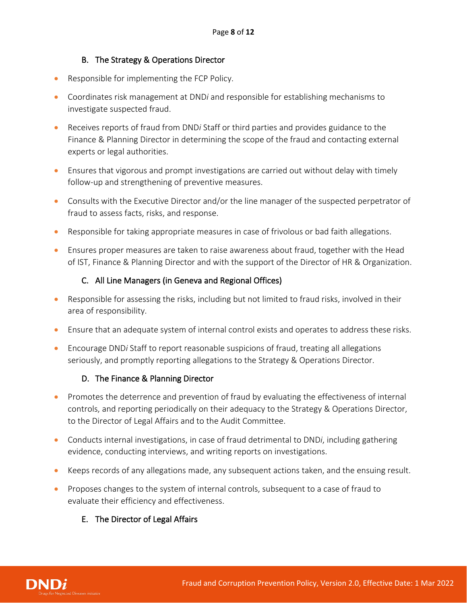#### B. The Strategy & Operations Director

- Responsible for implementing the FCP Policy.
- Coordinates risk management at DND*i* and responsible for establishing mechanisms to investigate suspected fraud.
- Receives reports of fraud from DND*i* Staff or third parties and provides guidance to the Finance & Planning Director in determining the scope of the fraud and contacting external experts or legal authorities.
- Ensures that vigorous and prompt investigations are carried out without delay with timely follow-up and strengthening of preventive measures.
- Consults with the Executive Director and/or the line manager of the suspected perpetrator of fraud to assess facts, risks, and response.
- Responsible for taking appropriate measures in case of frivolous or bad faith allegations.
- Ensures proper measures are taken to raise awareness about fraud, together with the Head of IST, Finance & Planning Director and with the support of the Director of HR & Organization.

#### C. All Line Managers (in Geneva and Regional Offices)

- Responsible for assessing the risks, including but not limited to fraud risks, involved in their area of responsibility.
- Ensure that an adequate system of internal control exists and operates to address these risks.
- Encourage DND*i* Staff to report reasonable suspicions of fraud, treating all allegations seriously, and promptly reporting allegations to the Strategy & Operations Director.

#### D. The Finance & Planning Director

- Promotes the deterrence and prevention of fraud by evaluating the effectiveness of internal controls, and reporting periodically on their adequacy to the Strategy & Operations Director, to the Director of Legal Affairs and to the Audit Committee.
- Conducts internal investigations, in case of fraud detrimental to DND*i*, including gathering evidence, conducting interviews, and writing reports on investigations.
- Keeps records of any allegations made, any subsequent actions taken, and the ensuing result.
- Proposes changes to the system of internal controls, subsequent to a case of fraud to evaluate their efficiency and effectiveness.

#### E. The Director of Legal Affairs

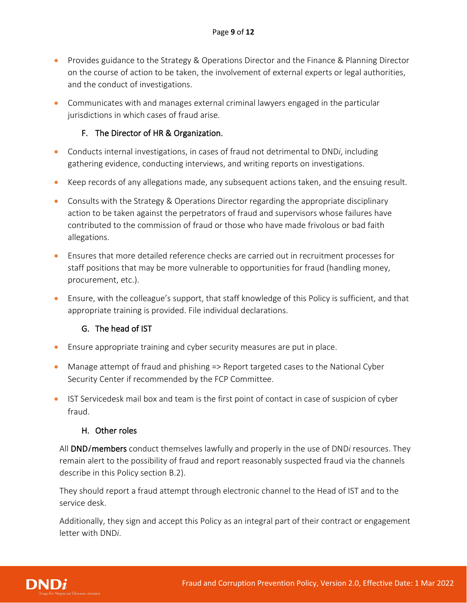- Provides guidance to the Strategy & Operations Director and the Finance & Planning Director on the course of action to be taken, the involvement of external experts or legal authorities, and the conduct of investigations.
- Communicates with and manages external criminal lawyers engaged in the particular jurisdictions in which cases of fraud arise.

# F. The Director of HR & Organization.

- Conducts internal investigations, in cases of fraud not detrimental to DND*i*, including gathering evidence, conducting interviews, and writing reports on investigations.
- Keep records of any allegations made, any subsequent actions taken, and the ensuing result.
- Consults with the Strategy & Operations Director regarding the appropriate disciplinary action to be taken against the perpetrators of fraud and supervisors whose failures have contributed to the commission of fraud or those who have made frivolous or bad faith allegations.
- Ensures that more detailed reference checks are carried out in recruitment processes for staff positions that may be more vulnerable to opportunities for fraud (handling money, procurement, etc.).
- Ensure, with the colleague's support, that staff knowledge of this Policy is sufficient, and that appropriate training is provided. File individual declarations.

# G. The head of IST

- Ensure appropriate training and cyber security measures are put in place.
- Manage attempt of fraud and phishing => Report targeted cases to the National Cyber Security Center if recommended by the FCP Committee.
- IST Servicedesk mail box and team is the first point of contact in case of suspicion of cyber fraud.

## H. Other roles

All **DND/members** conduct themselves lawfully and properly in the use of DND*i* resources. They remain alert to the possibility of fraud and report reasonably suspected fraud via the channels describe in this Policy section B.2).

They should report a fraud attempt through electronic channel to the Head of IST and to the service desk.

Additionally, they sign and accept this Policy as an integral part of their contract or engagement letter with DND*i*.

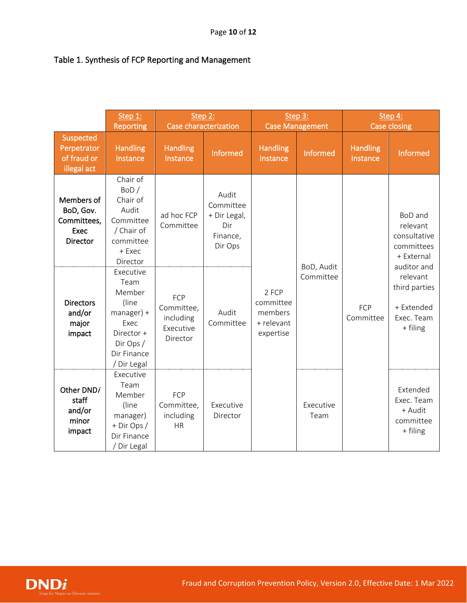# Table 1. Synthesis of FCP Reporting and Management

|                                                                                                                    | Step 1:<br><b>Reporting</b>                                                                                           | Step 2:<br>Case characterization                        |                                                                  | Step 3:<br><b>Case Management</b>                        |                         | Step 4:<br><b>Case closing</b> |                                                                                                                                                     |
|--------------------------------------------------------------------------------------------------------------------|-----------------------------------------------------------------------------------------------------------------------|---------------------------------------------------------|------------------------------------------------------------------|----------------------------------------------------------|-------------------------|--------------------------------|-----------------------------------------------------------------------------------------------------------------------------------------------------|
| Suspected<br>Perpetrator<br>of fraud or<br>illegal act                                                             | <b>Handling</b><br>Instance                                                                                           | <b>Handling</b><br>Instance                             | Informed                                                         | <b>Handling</b><br>Instance                              | Informed                | <b>Handling</b><br>Instance    | Informed                                                                                                                                            |
| Members of<br>BoD, Gov.<br>Committees,<br>Exec<br><b>Director</b><br><b>Directors</b><br>and/or<br>major<br>impact | Chair of<br>BoD/<br>Chair of<br>Audit<br>Committee<br>/ Chair of<br>committee<br>+ Exec<br>Director                   | ad hoc FCP<br>Committee                                 | Audit<br>Committee<br>+ Dir Legal,<br>Dir<br>Finance,<br>Dir Ops | 2 FCP<br>committee<br>members<br>+ relevant<br>expertise | BoD, Audit<br>Committee | FCP<br>Committee               | BoD and<br>relevant<br>consultative<br>committees<br>+ External<br>auditor and<br>relevant<br>third parties<br>+ Extended<br>Exec. Team<br>+ filing |
|                                                                                                                    | Executive<br>Team<br>Member<br>(line<br>$manager$ ) +<br>Exec<br>Director +<br>Dir Ops/<br>Dir Finance<br>/ Dir Legal | FCP<br>Committee,<br>including<br>Executive<br>Director | Audit<br>Committee                                               |                                                          |                         |                                |                                                                                                                                                     |
| Other DND/<br>staff<br>and/or<br>minor<br>impact                                                                   | Executive<br>Team<br>Member<br>(line<br>manager)<br>+ Dir Ops /<br>Dir Finance<br>Dir Legal                           | FCP<br>Committee,<br>including<br><b>HR</b>             | Executive<br>Director                                            |                                                          | Executive<br>Team       |                                | Extended<br>Exec. Team<br>+ Audit<br>committee<br>+ filing                                                                                          |

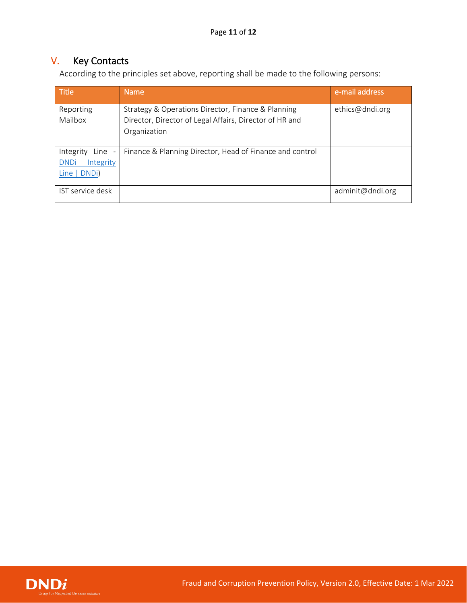# <span id="page-10-0"></span>V. Key Contacts

According to the principles set above, reporting shall be made to the following persons:

| <b>Title</b>                                                    | <b>Name</b>                                                                                                                   | e-mail address   |
|-----------------------------------------------------------------|-------------------------------------------------------------------------------------------------------------------------------|------------------|
| Reporting<br>Mailbox                                            | Strategy & Operations Director, Finance & Planning<br>Director, Director of Legal Affairs, Director of HR and<br>Organization | ethics@dndi.org  |
| Integrity<br>Line -<br>Integrity<br><b>DNDi</b><br>Line   DNDi) | Finance & Planning Director, Head of Finance and control                                                                      |                  |
| IST service desk                                                |                                                                                                                               | adminit@dndi.org |